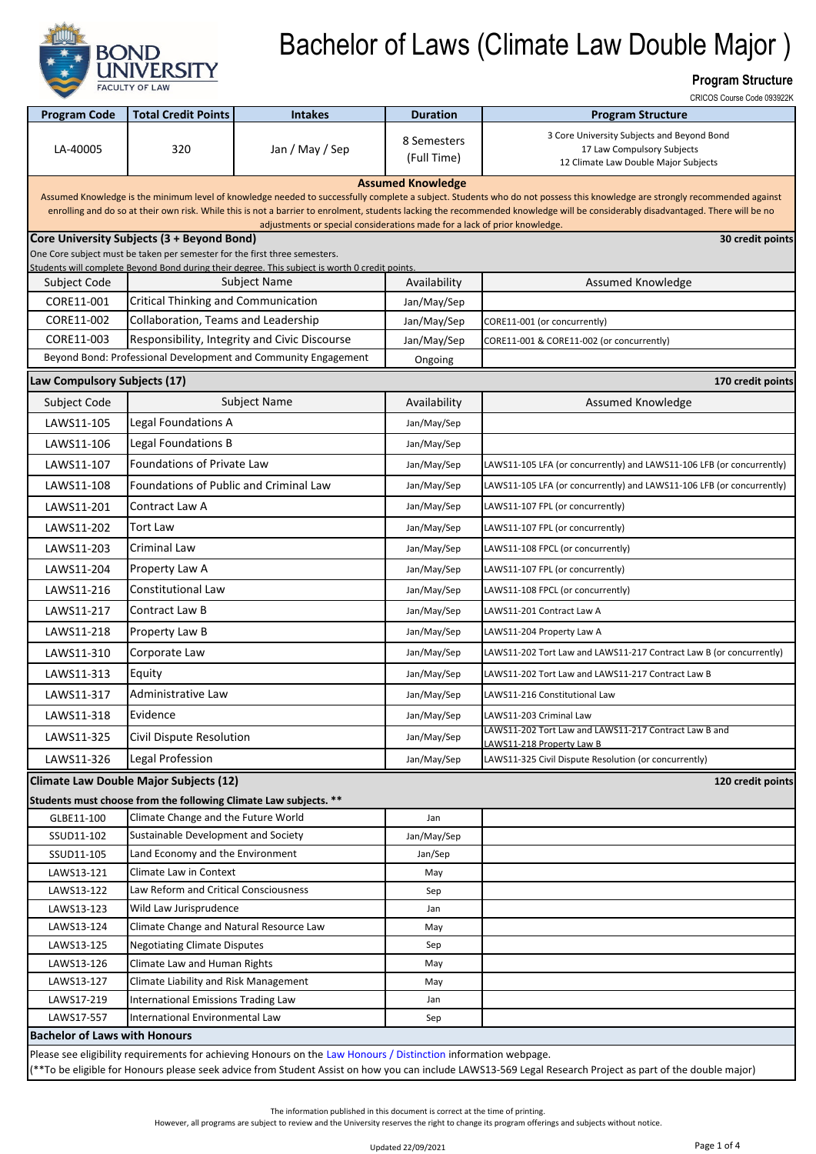

#### **Program Structure**

|                                      |                                                                            |                                                                                                                 |                            | CRICOS Course Code 093922K                                                                                                                                                                                                                                                                                                                                     |
|--------------------------------------|----------------------------------------------------------------------------|-----------------------------------------------------------------------------------------------------------------|----------------------------|----------------------------------------------------------------------------------------------------------------------------------------------------------------------------------------------------------------------------------------------------------------------------------------------------------------------------------------------------------------|
| <b>Program Code</b>                  | <b>Total Credit Points</b>                                                 | <b>Intakes</b>                                                                                                  | <b>Duration</b>            | <b>Program Structure</b>                                                                                                                                                                                                                                                                                                                                       |
| LA-40005                             | 320                                                                        | Jan / May / Sep                                                                                                 | 8 Semesters<br>(Full Time) | 3 Core University Subjects and Beyond Bond<br>17 Law Compulsory Subjects<br>12 Climate Law Double Major Subjects                                                                                                                                                                                                                                               |
|                                      |                                                                            |                                                                                                                 | <b>Assumed Knowledge</b>   |                                                                                                                                                                                                                                                                                                                                                                |
|                                      |                                                                            | adjustments or special considerations made for a lack of prior knowledge.                                       |                            | Assumed Knowledge is the minimum level of knowledge needed to successfully complete a subject. Students who do not possess this knowledge are strongly recommended against<br>enrolling and do so at their own risk. While this is not a barrier to enrolment, students lacking the recommended knowledge will be considerably disadvantaged. There will be no |
|                                      | Core University Subjects (3 + Beyond Bond)                                 |                                                                                                                 |                            | 30 credit points                                                                                                                                                                                                                                                                                                                                               |
|                                      | One Core subject must be taken per semester for the first three semesters. | Students will complete Beyond Bond during their degree. This subject is worth 0 credit points.                  |                            |                                                                                                                                                                                                                                                                                                                                                                |
| Subject Code                         |                                                                            | <b>Subject Name</b>                                                                                             | Availability               | Assumed Knowledge                                                                                                                                                                                                                                                                                                                                              |
| CORE11-001                           | <b>Critical Thinking and Communication</b>                                 |                                                                                                                 | Jan/May/Sep                |                                                                                                                                                                                                                                                                                                                                                                |
| CORE11-002                           | Collaboration, Teams and Leadership                                        |                                                                                                                 | Jan/May/Sep                | CORE11-001 (or concurrently)                                                                                                                                                                                                                                                                                                                                   |
| CORE11-003                           |                                                                            | Responsibility, Integrity and Civic Discourse                                                                   | Jan/May/Sep                | CORE11-001 & CORE11-002 (or concurrently)                                                                                                                                                                                                                                                                                                                      |
|                                      |                                                                            | Beyond Bond: Professional Development and Community Engagement                                                  | Ongoing                    |                                                                                                                                                                                                                                                                                                                                                                |
| Law Compulsory Subjects (17)         |                                                                            |                                                                                                                 |                            | 170 credit points                                                                                                                                                                                                                                                                                                                                              |
| Subject Code                         |                                                                            | <b>Subject Name</b>                                                                                             | Availability               | Assumed Knowledge                                                                                                                                                                                                                                                                                                                                              |
|                                      | Legal Foundations A                                                        |                                                                                                                 |                            |                                                                                                                                                                                                                                                                                                                                                                |
| LAWS11-105                           |                                                                            |                                                                                                                 | Jan/May/Sep                |                                                                                                                                                                                                                                                                                                                                                                |
| LAWS11-106                           | Legal Foundations B                                                        |                                                                                                                 | Jan/May/Sep                |                                                                                                                                                                                                                                                                                                                                                                |
| LAWS11-107                           | Foundations of Private Law                                                 |                                                                                                                 | Jan/May/Sep                | LAWS11-105 LFA (or concurrently) and LAWS11-106 LFB (or concurrently)                                                                                                                                                                                                                                                                                          |
| LAWS11-108                           | Foundations of Public and Criminal Law                                     |                                                                                                                 | Jan/May/Sep                | LAWS11-105 LFA (or concurrently) and LAWS11-106 LFB (or concurrently)                                                                                                                                                                                                                                                                                          |
| LAWS11-201                           | Contract Law A                                                             |                                                                                                                 | Jan/May/Sep                | LAWS11-107 FPL (or concurrently)                                                                                                                                                                                                                                                                                                                               |
| LAWS11-202                           | <b>Tort Law</b>                                                            |                                                                                                                 | Jan/May/Sep                | LAWS11-107 FPL (or concurrently)                                                                                                                                                                                                                                                                                                                               |
| LAWS11-203                           | Criminal Law                                                               |                                                                                                                 | Jan/May/Sep                | LAWS11-108 FPCL (or concurrently)                                                                                                                                                                                                                                                                                                                              |
| LAWS11-204                           | Property Law A                                                             |                                                                                                                 | Jan/May/Sep                | LAWS11-107 FPL (or concurrently)                                                                                                                                                                                                                                                                                                                               |
| LAWS11-216                           | <b>Constitutional Law</b>                                                  |                                                                                                                 | Jan/May/Sep                | LAWS11-108 FPCL (or concurrently)                                                                                                                                                                                                                                                                                                                              |
| LAWS11-217                           | Contract Law B                                                             |                                                                                                                 | Jan/May/Sep                | LAWS11-201 Contract Law A                                                                                                                                                                                                                                                                                                                                      |
| LAWS11-218                           | Property Law B                                                             |                                                                                                                 | Jan/May/Sep                | LAWS11-204 Property Law A                                                                                                                                                                                                                                                                                                                                      |
| LAWS11-310                           | Corporate Law                                                              |                                                                                                                 | Jan/May/Sep                | LAWS11-202 Tort Law and LAWS11-217 Contract Law B (or concurrently)                                                                                                                                                                                                                                                                                            |
| LAWS11-313                           | Equity                                                                     |                                                                                                                 | Jan/May/Sep                | LAWS11-202 Tort Law and LAWS11-217 Contract Law B                                                                                                                                                                                                                                                                                                              |
| LAWS11-317                           | Administrative Law                                                         |                                                                                                                 | Jan/May/Sep                | LAWS11-216 Constitutional Law                                                                                                                                                                                                                                                                                                                                  |
| LAWS11-318                           | Evidence                                                                   |                                                                                                                 | Jan/May/Sep                | LAWS11-203 Criminal Law                                                                                                                                                                                                                                                                                                                                        |
|                                      |                                                                            |                                                                                                                 |                            | LAWS11-202 Tort Law and LAWS11-217 Contract Law B and                                                                                                                                                                                                                                                                                                          |
| LAWS11-325                           | Civil Dispute Resolution                                                   |                                                                                                                 | Jan/May/Sep                | LAWS11-218 Property Law B                                                                                                                                                                                                                                                                                                                                      |
| LAWS11-326                           | Legal Profession                                                           |                                                                                                                 | Jan/May/Sep                | LAWS11-325 Civil Dispute Resolution (or concurrently)                                                                                                                                                                                                                                                                                                          |
|                                      | <b>Climate Law Double Major Subjects (12)</b>                              |                                                                                                                 |                            | 120 credit points                                                                                                                                                                                                                                                                                                                                              |
|                                      | Students must choose from the following Climate Law subjects. **           |                                                                                                                 |                            |                                                                                                                                                                                                                                                                                                                                                                |
| GLBE11-100                           | Climate Change and the Future World                                        |                                                                                                                 | Jan                        |                                                                                                                                                                                                                                                                                                                                                                |
| SSUD11-102<br>SSUD11-105             | Sustainable Development and Society                                        |                                                                                                                 | Jan/May/Sep<br>Jan/Sep     |                                                                                                                                                                                                                                                                                                                                                                |
| LAWS13-121                           | Land Economy and the Environment<br><b>Climate Law in Context</b>          |                                                                                                                 | May                        |                                                                                                                                                                                                                                                                                                                                                                |
| LAWS13-122                           | Law Reform and Critical Consciousness                                      |                                                                                                                 | Sep                        |                                                                                                                                                                                                                                                                                                                                                                |
| LAWS13-123                           | Wild Law Jurisprudence                                                     |                                                                                                                 | Jan                        |                                                                                                                                                                                                                                                                                                                                                                |
| LAWS13-124                           | Climate Change and Natural Resource Law                                    |                                                                                                                 | May                        |                                                                                                                                                                                                                                                                                                                                                                |
| LAWS13-125                           | <b>Negotiating Climate Disputes</b>                                        |                                                                                                                 | Sep                        |                                                                                                                                                                                                                                                                                                                                                                |
| LAWS13-126                           | Climate Law and Human Rights                                               |                                                                                                                 | May                        |                                                                                                                                                                                                                                                                                                                                                                |
| LAWS13-127                           | Climate Liability and Risk Management                                      |                                                                                                                 | May                        |                                                                                                                                                                                                                                                                                                                                                                |
| LAWS17-219                           | International Emissions Trading Law                                        |                                                                                                                 | Jan                        |                                                                                                                                                                                                                                                                                                                                                                |
| LAWS17-557                           | International Environmental Law                                            |                                                                                                                 | Sep                        |                                                                                                                                                                                                                                                                                                                                                                |
| <b>Bachelor of Laws with Honours</b> |                                                                            |                                                                                                                 |                            |                                                                                                                                                                                                                                                                                                                                                                |
|                                      |                                                                            | Please see eligibility requirements for achieving Honours on the Law Honours / Distinction information webpage. |                            |                                                                                                                                                                                                                                                                                                                                                                |
|                                      |                                                                            |                                                                                                                 |                            | (**To be eligible for Honours please seek advice from Student Assist on how you can include LAWS13-569 Legal Research Project as part of the double major)                                                                                                                                                                                                     |

The information published in this document is correct at the time of printing.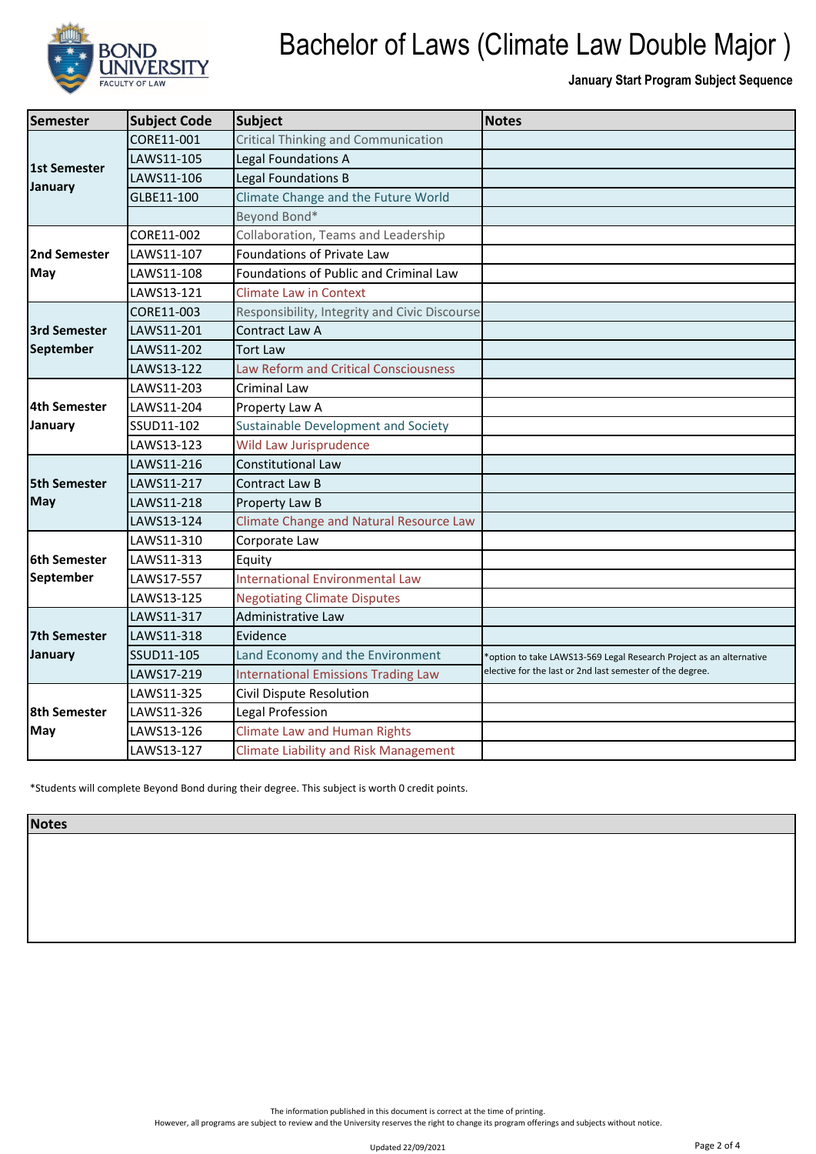

**January Start Program Subject Sequence**

| Semester                   | <b>Subject Code</b> | <b>Subject</b>                                 | <b>Notes</b>                                                        |
|----------------------------|---------------------|------------------------------------------------|---------------------------------------------------------------------|
| 1st Semester<br>January    | CORE11-001          | <b>Critical Thinking and Communication</b>     |                                                                     |
|                            | LAWS11-105          | Legal Foundations A                            |                                                                     |
|                            | LAWS11-106          | Legal Foundations B                            |                                                                     |
|                            | GLBE11-100          | Climate Change and the Future World            |                                                                     |
|                            |                     | Beyond Bond*                                   |                                                                     |
| 2nd Semester<br>May        | CORE11-002          | Collaboration, Teams and Leadership            |                                                                     |
|                            | LAWS11-107          | Foundations of Private Law                     |                                                                     |
|                            | LAWS11-108          | Foundations of Public and Criminal Law         |                                                                     |
|                            | LAWS13-121          | <b>Climate Law in Context</b>                  |                                                                     |
|                            | CORE11-003          | Responsibility, Integrity and Civic Discourse  |                                                                     |
| <b>3rd Semester</b>        | LAWS11-201          | Contract Law A                                 |                                                                     |
| September                  | LAWS11-202          | <b>Tort Law</b>                                |                                                                     |
|                            | LAWS13-122          | <b>Law Reform and Critical Consciousness</b>   |                                                                     |
|                            | LAWS11-203          | Criminal Law                                   |                                                                     |
| 4th Semester               | LAWS11-204          | Property Law A                                 |                                                                     |
| January                    | SSUD11-102          | Sustainable Development and Society            |                                                                     |
|                            | LAWS13-123          | Wild Law Jurisprudence                         |                                                                     |
|                            | LAWS11-216          | Constitutional Law                             |                                                                     |
| <b>5th Semester</b>        | LAWS11-217          | Contract Law B                                 |                                                                     |
| <b>May</b>                 | LAWS11-218          | Property Law B                                 |                                                                     |
|                            | LAWS13-124          | <b>Climate Change and Natural Resource Law</b> |                                                                     |
|                            | LAWS11-310          | Corporate Law                                  |                                                                     |
| <b>6th Semester</b>        | LAWS11-313          | Equity                                         |                                                                     |
| <b>September</b>           | LAWS17-557          | <b>International Environmental Law</b>         |                                                                     |
|                            | LAWS13-125          | <b>Negotiating Climate Disputes</b>            |                                                                     |
| 7th Semester               | LAWS11-317          | Administrative Law                             |                                                                     |
|                            | LAWS11-318          | Evidence                                       |                                                                     |
| January                    | SSUD11-105          | Land Economy and the Environment               | *option to take LAWS13-569 Legal Research Project as an alternative |
|                            | LAWS17-219          | <b>International Emissions Trading Law</b>     | elective for the last or 2nd last semester of the degree.           |
| <b>8th Semester</b><br>May | LAWS11-325          | Civil Dispute Resolution                       |                                                                     |
|                            | LAWS11-326          | Legal Profession                               |                                                                     |
|                            | LAWS13-126          | <b>Climate Law and Human Rights</b>            |                                                                     |
|                            | LAWS13-127          | <b>Climate Liability and Risk Management</b>   |                                                                     |

\*Students will complete Beyond Bond during their degree. This subject is worth 0 credit points.

**Notes**

The information published in this document is correct at the time of printing.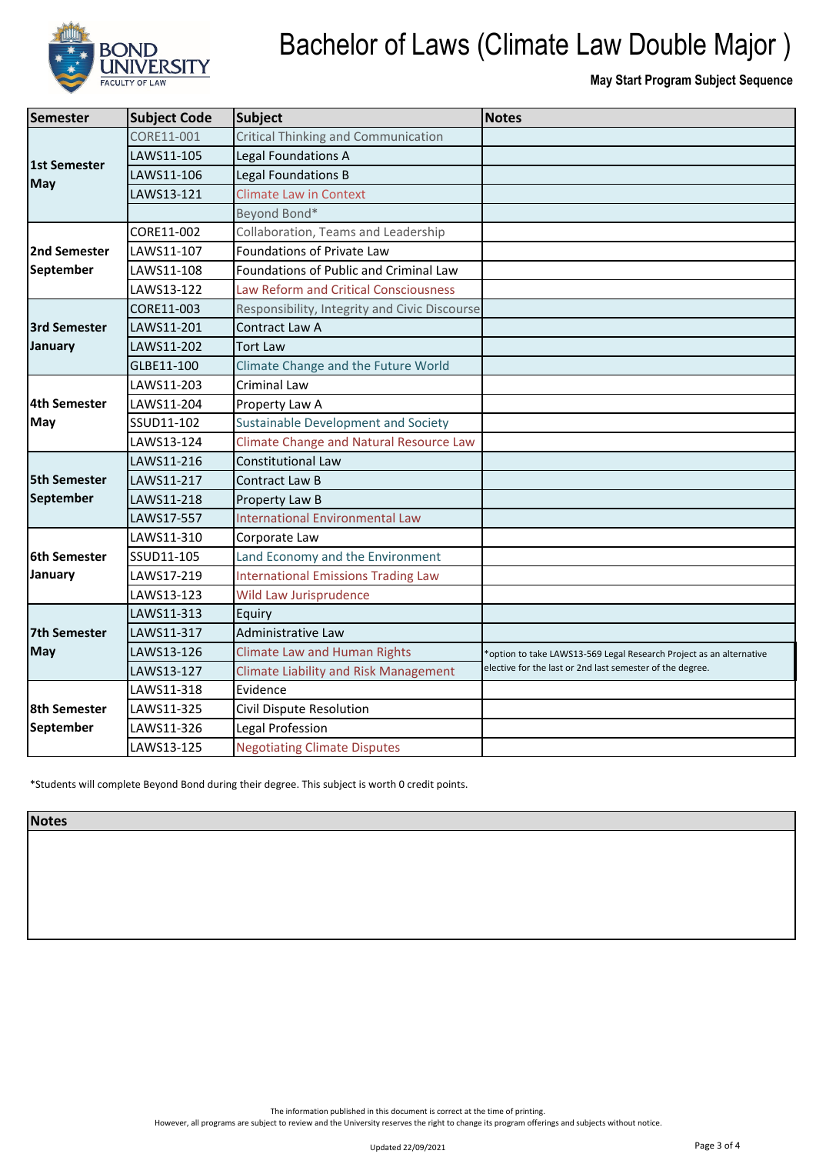

**May Start Program Subject Sequence**

| <b>Semester</b>                  | <b>Subject Code</b> | <b>Subject</b>                                 | <b>Notes</b>                                                        |  |
|----------------------------------|---------------------|------------------------------------------------|---------------------------------------------------------------------|--|
| <b>1st Semester</b><br>May       | CORE11-001          | Critical Thinking and Communication            |                                                                     |  |
|                                  | LAWS11-105          | Legal Foundations A                            |                                                                     |  |
|                                  | LAWS11-106          | Legal Foundations B                            |                                                                     |  |
|                                  | LAWS13-121          | <b>Climate Law in Context</b>                  |                                                                     |  |
|                                  |                     | Beyond Bond*                                   |                                                                     |  |
| 2nd Semester<br>September        | CORE11-002          | Collaboration, Teams and Leadership            |                                                                     |  |
|                                  | LAWS11-107          | Foundations of Private Law                     |                                                                     |  |
|                                  | LAWS11-108          | Foundations of Public and Criminal Law         |                                                                     |  |
|                                  | LAWS13-122          | <b>Law Reform and Critical Consciousness</b>   |                                                                     |  |
| <b>3rd Semester</b>              | CORE11-003          | Responsibility, Integrity and Civic Discourse  |                                                                     |  |
|                                  | LAWS11-201          | Contract Law A                                 |                                                                     |  |
| January                          | LAWS11-202          | Tort Law                                       |                                                                     |  |
|                                  | GLBE11-100          | Climate Change and the Future World            |                                                                     |  |
|                                  | LAWS11-203          | <b>Criminal Law</b>                            |                                                                     |  |
| <b>4th Semester</b>              | LAWS11-204          | Property Law A                                 |                                                                     |  |
| May                              | SSUD11-102          | Sustainable Development and Society            |                                                                     |  |
|                                  | LAWS13-124          | <b>Climate Change and Natural Resource Law</b> |                                                                     |  |
|                                  | LAWS11-216          | <b>Constitutional Law</b>                      |                                                                     |  |
| <b>5th Semester</b>              | LAWS11-217          | Contract Law B                                 |                                                                     |  |
| September                        | LAWS11-218          | Property Law B                                 |                                                                     |  |
|                                  | LAWS17-557          | <b>International Environmental Law</b>         |                                                                     |  |
|                                  | LAWS11-310          | Corporate Law                                  |                                                                     |  |
| <b>6th Semester</b>              | SSUD11-105          | Land Economy and the Environment               |                                                                     |  |
| January                          | LAWS17-219          | <b>International Emissions Trading Law</b>     |                                                                     |  |
|                                  | LAWS13-123          | <b>Wild Law Jurisprudence</b>                  |                                                                     |  |
| 7th Semester                     | LAWS11-313          | Equiry                                         |                                                                     |  |
|                                  | LAWS11-317          | Administrative Law                             |                                                                     |  |
| <b>May</b>                       | LAWS13-126          | <b>Climate Law and Human Rights</b>            | *option to take LAWS13-569 Legal Research Project as an alternative |  |
|                                  | LAWS13-127          | <b>Climate Liability and Risk Management</b>   | elective for the last or 2nd last semester of the degree.           |  |
| <b>8th Semester</b><br>September | LAWS11-318          | Evidence                                       |                                                                     |  |
|                                  | LAWS11-325          | Civil Dispute Resolution                       |                                                                     |  |
|                                  | LAWS11-326          | Legal Profession                               |                                                                     |  |
|                                  | LAWS13-125          | <b>Negotiating Climate Disputes</b>            |                                                                     |  |

\*Students will complete Beyond Bond during their degree. This subject is worth 0 credit points.

**Notes**

The information published in this document is correct at the time of printing.